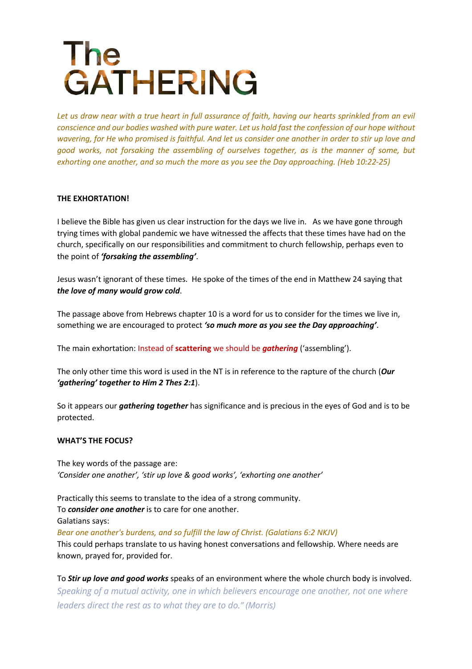# **The GATHERING**

Let us draw near with a true heart in full assurance of faith, having our hearts sprinkled from an evil *conscience and our bodies washed with pure water. Let us hold fast the confession of our hope without wavering, for He who promised is faithful. And let us consider one another in order to stir up love and good works, not forsaking the assembling of ourselves together, as is the manner of some, but exhorting one another, and so much the more as you see the Day approaching. (Heb 10:22-25)*

## **THE EXHORTATION!**

I believe the Bible has given us clear instruction for the days we live in. As we have gone through trying times with global pandemic we have witnessed the affects that these times have had on the church, specifically on our responsibilities and commitment to church fellowship, perhaps even to the point of *'forsaking the assembling'*.

Jesus wasn't ignorant of these times. He spoke of the times of the end in Matthew 24 saying that *the love of many would grow cold*.

The passage above from Hebrews chapter 10 is a word for us to consider for the times we live in, something we are encouraged to protect *'so much more as you see the Day approaching'*.

The main exhortation: Instead of **scattering** we should be *gathering* ('assembling').

The only other time this word is used in the NT is in reference to the rapture of the church (*Our 'gathering' together to Him 2 Thes 2:1*).

So it appears our *gathering together* has significance and is precious in the eyes of God and is to be protected.

### **WHAT'S THE FOCUS?**

The key words of the passage are: *'Consider one another', 'stir up love & good works', 'exhorting one another'*

Practically this seems to translate to the idea of a strong community. To *consider one another* is to care for one another. Galatians says: *Bear one another's burdens, and so fulfill the law of Christ. (Galatians 6:2 NKJV)* This could perhaps translate to us having honest conversations and fellowship. Where needs are known, prayed for, provided for.

To *Stir up love and good works* speaks of an environment where the whole church body is involved. *Speaking of a mutual activity, one in which believers encourage one another, not one where leaders direct the rest as to what they are to do." (Morris)*